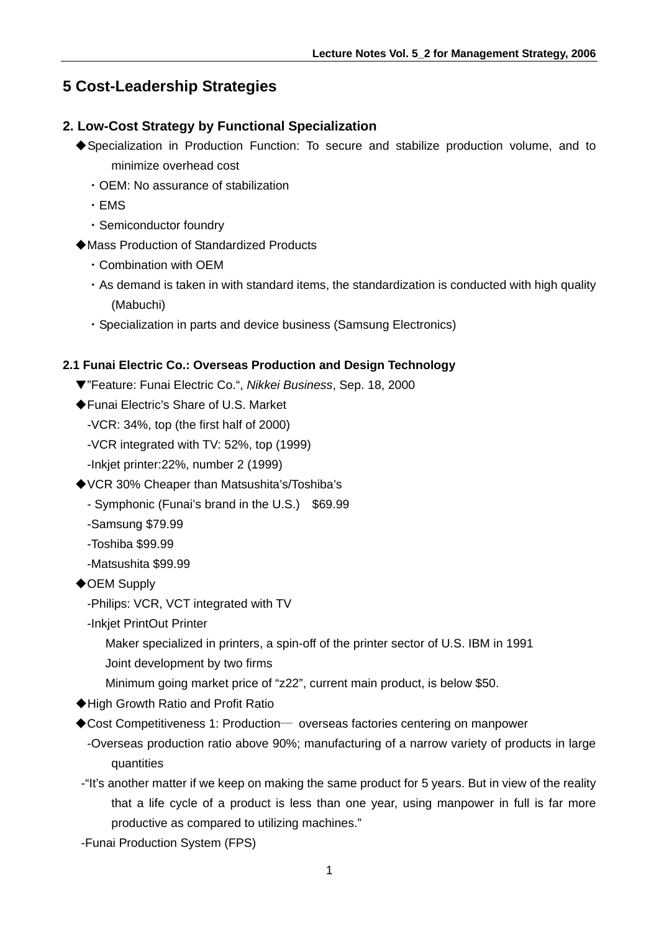# **5 Cost-Leadership Strategies**

# **2. Low-Cost Strategy by Functional Specialization**

- ◆Specialization in Production Function: To secure and stabilize production volume, and to minimize overhead cost
	- ・OEM: No assurance of stabilization
	- ・EMS
	- ・Semiconductor foundry
- ◆Mass Production of Standardized Products
	- ・Combination with OEM
	- ・As demand is taken in with standard items, the standardization is conducted with high quality (Mabuchi)
	- ・Specialization in parts and device business (Samsung Electronics)

# **2.1 Funai Electric Co.: Overseas Production and Design Technology**

- ▼"Feature: Funai Electric Co.", *Nikkei Business*, Sep. 18, 2000
- ◆Funai Electric's Share of U.S. Market
	- -VCR: 34%, top (the first half of 2000)
	- -VCR integrated with TV: 52%, top (1999)
	- -Inkjet printer:22%, number 2 (1999)
- ◆VCR 30% Cheaper than Matsushita's/Toshiba's
	- Symphonic (Funai's brand in the U.S.) \$69.99
	- -Samsung \$79.99
	- -Toshiba \$99.99
	- -Matsushita \$99.99
- ◆OEM Supply
	- -Philips: VCR, VCT integrated with TV
	- -Inkjet PrintOut Printer
		- Maker specialized in printers, a spin-off of the printer sector of U.S. IBM in 1991
		- Joint development by two firms
		- Minimum going market price of "z22", current main product, is below \$50.
- ◆High Growth Ratio and Profit Ratio
- ◆Cost Competitiveness 1: Production— overseas factories centering on manpower
	- -Overseas production ratio above 90%; manufacturing of a narrow variety of products in large quantities
- -"It's another matter if we keep on making the same product for 5 years. But in view of the reality that a life cycle of a product is less than one year, using manpower in full is far more productive as compared to utilizing machines."
- -Funai Production System (FPS)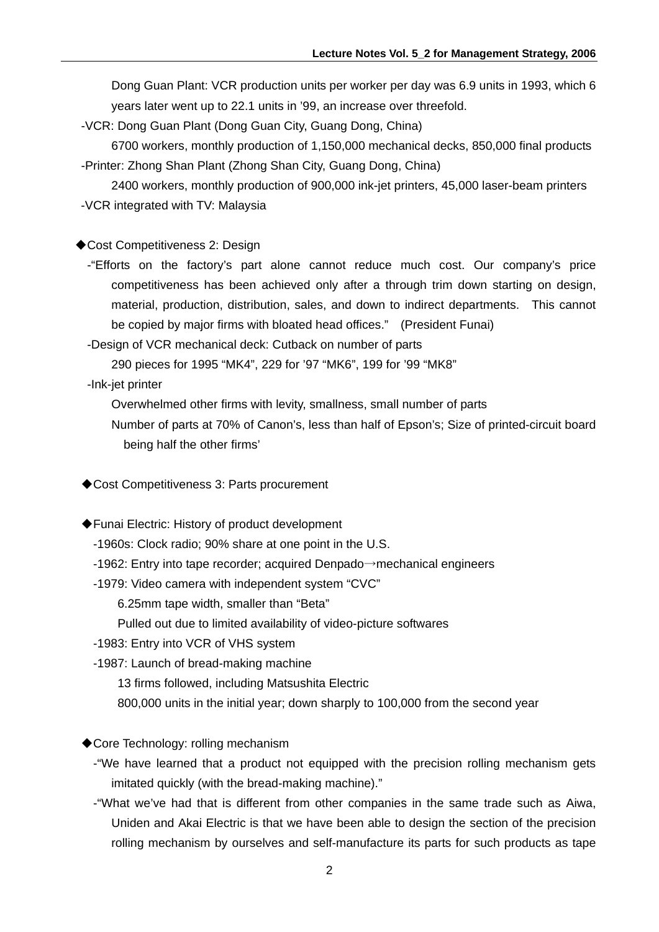Dong Guan Plant: VCR production units per worker per day was 6.9 units in 1993, which 6 years later went up to 22.1 units in '99, an increase over threefold.

-VCR: Dong Guan Plant (Dong Guan City, Guang Dong, China)

 6700 workers, monthly production of 1,150,000 mechanical decks, 850,000 final products -Printer: Zhong Shan Plant (Zhong Shan City, Guang Dong, China)

 2400 workers, monthly production of 900,000 ink-jet printers, 45,000 laser-beam printers -VCR integrated with TV: Malaysia

#### ◆Cost Competitiveness 2: Design

 -"Efforts on the factory's part alone cannot reduce much cost. Our company's price competitiveness has been achieved only after a through trim down starting on design, material, production, distribution, sales, and down to indirect departments. This cannot be copied by major firms with bloated head offices." (President Funai)

-Design of VCR mechanical deck: Cutback on number of parts

290 pieces for 1995 "MK4", 229 for '97 "MK6", 199 for '99 "MK8"

### -Ink-jet printer

Overwhelmed other firms with levity, smallness, small number of parts

 Number of parts at 70% of Canon's, less than half of Epson's; Size of printed-circuit board being half the other firms'

◆ Cost Competitiveness 3: Parts procurement

◆Funai Electric: History of product development

- -1960s: Clock radio; 90% share at one point in the U.S.
- -1962: Entry into tape recorder; acquired Denpado→mechanical engineers
- -1979: Video camera with independent system "CVC"
	- 6.25mm tape width, smaller than "Beta"
	- Pulled out due to limited availability of video-picture softwares
- -1983: Entry into VCR of VHS system
- -1987: Launch of bread-making machine
	- 13 firms followed, including Matsushita Electric
	- 800,000 units in the initial year; down sharply to 100,000 from the second year
- ◆Core Technology: rolling mechanism
	- -"We have learned that a product not equipped with the precision rolling mechanism gets imitated quickly (with the bread-making machine)."
	- -"What we've had that is different from other companies in the same trade such as Aiwa, Uniden and Akai Electric is that we have been able to design the section of the precision rolling mechanism by ourselves and self-manufacture its parts for such products as tape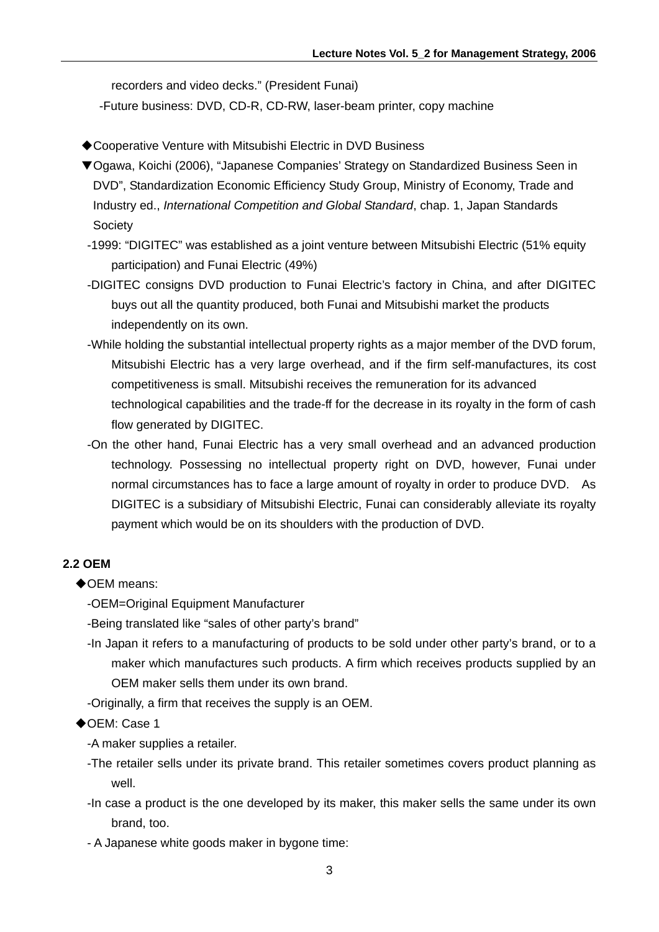recorders and video decks." (President Funai)

-Future business: DVD, CD-R, CD-RW, laser-beam printer, copy machine

- ◆Cooperative Venture with Mitsubishi Electric in DVD Business
- ▼Ogawa, Koichi (2006), "Japanese Companies' Strategy on Standardized Business Seen in DVD", Standardization Economic Efficiency Study Group, Ministry of Economy, Trade and Industry ed., *International Competition and Global Standard*, chap. 1, Japan Standards **Society**
- -1999: "DIGITEC" was established as a joint venture between Mitsubishi Electric (51% equity participation) and Funai Electric (49%)
- -DIGITEC consigns DVD production to Funai Electric's factory in China, and after DIGITEC buys out all the quantity produced, both Funai and Mitsubishi market the products independently on its own.
- -While holding the substantial intellectual property rights as a major member of the DVD forum, Mitsubishi Electric has a very large overhead, and if the firm self-manufactures, its cost competitiveness is small. Mitsubishi receives the remuneration for its advanced technological capabilities and the trade-ff for the decrease in its royalty in the form of cash flow generated by DIGITEC.
- -On the other hand, Funai Electric has a very small overhead and an advanced production technology. Possessing no intellectual property right on DVD, however, Funai under normal circumstances has to face a large amount of royalty in order to produce DVD. As DIGITEC is a subsidiary of Mitsubishi Electric, Funai can considerably alleviate its royalty payment which would be on its shoulders with the production of DVD.

# **2.2 OEM**

◆OEM means:

- -OEM=Original Equipment Manufacturer
- -Being translated like "sales of other party's brand"
- -In Japan it refers to a manufacturing of products to be sold under other party's brand, or to a maker which manufactures such products. A firm which receives products supplied by an OEM maker sells them under its own brand.
- -Originally, a firm that receives the supply is an OEM.

◆OEM: Case 1

- -A maker supplies a retailer.
- -The retailer sells under its private brand. This retailer sometimes covers product planning as well.
- -In case a product is the one developed by its maker, this maker sells the same under its own brand, too.
- A Japanese white goods maker in bygone time: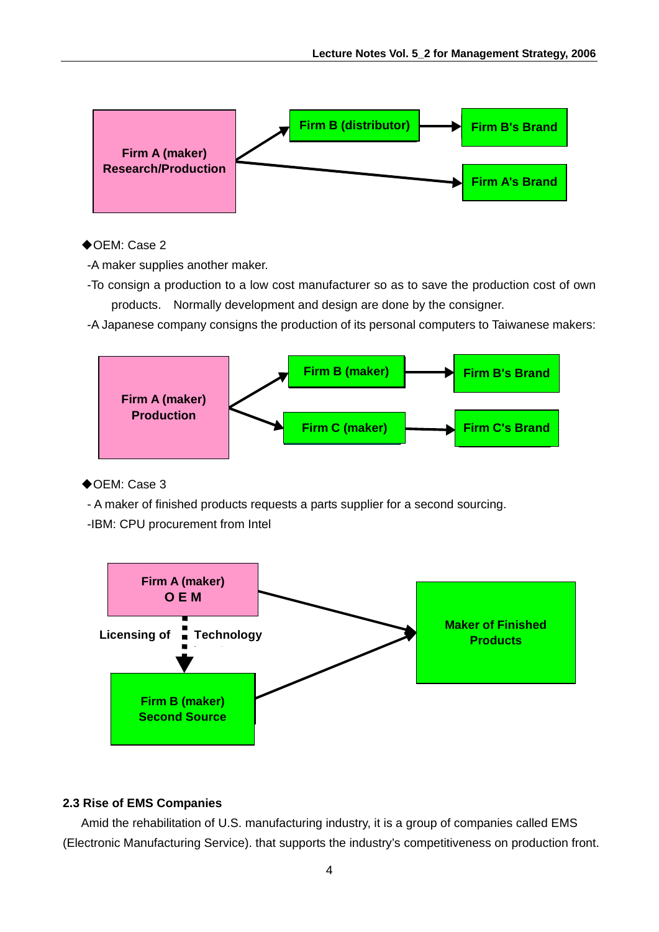

### ◆OEM: Case 2

-A maker supplies another maker.

- -To consign a production to a low cost manufacturer so as to save the production cost of own products. Normally development and design are done by the consigner.
- -A Japanese company consigns the production of its personal computers to Taiwanese makers:



◆OEM: Case 3

- A maker of finished products requests a parts supplier for a second sourcing.

-IBM: CPU procurement from Intel



### **2.3 Rise of EMS Companies**

Amid the rehabilitation of U.S. manufacturing industry, it is a group of companies called EMS (Electronic Manufacturing Service). that supports the industry's competitiveness on production front.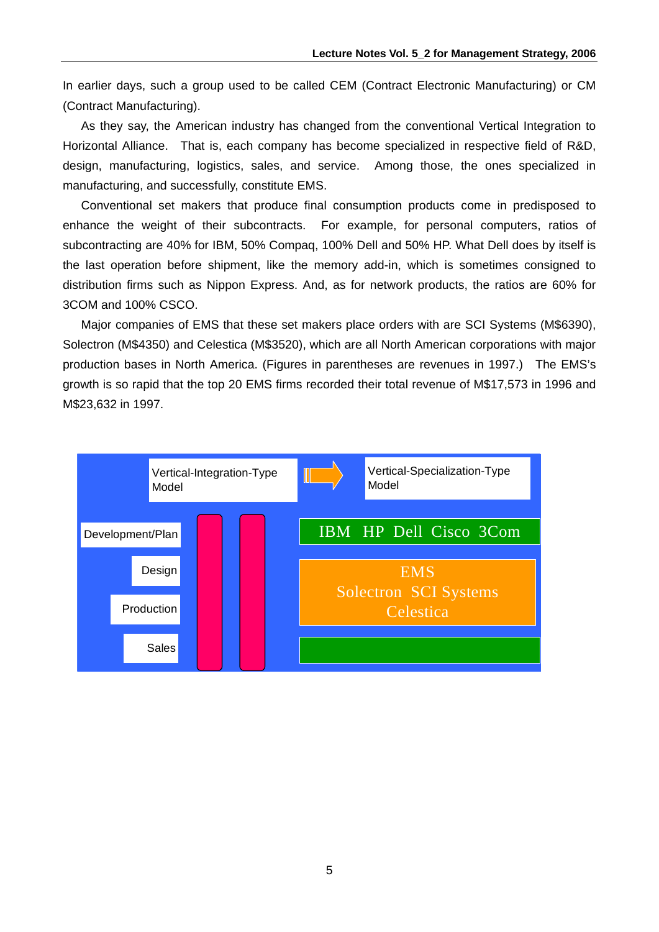In earlier days, such a group used to be called CEM (Contract Electronic Manufacturing) or CM (Contract Manufacturing).

 As they say, the American industry has changed from the conventional Vertical Integration to Horizontal Alliance. That is, each company has become specialized in respective field of R&D, design, manufacturing, logistics, sales, and service. Among those, the ones specialized in manufacturing, and successfully, constitute EMS.

 Conventional set makers that produce final consumption products come in predisposed to enhance the weight of their subcontracts. For example, for personal computers, ratios of subcontracting are 40% for IBM, 50% Compaq, 100% Dell and 50% HP. What Dell does by itself is the last operation before shipment, like the memory add-in, which is sometimes consigned to distribution firms such as Nippon Express. And, as for network products, the ratios are 60% for 3COM and 100% CSCO.

 Major companies of EMS that these set makers place orders with are SCI Systems (M\$6390), Solectron (M\$4350) and Celestica (M\$3520), which are all North American corporations with major production bases in North America. (Figures in parentheses are revenues in 1997.) The EMS's growth is so rapid that the top 20 EMS firms recorded their total revenue of M\$17,573 in 1996 and M\$23,632 in 1997.

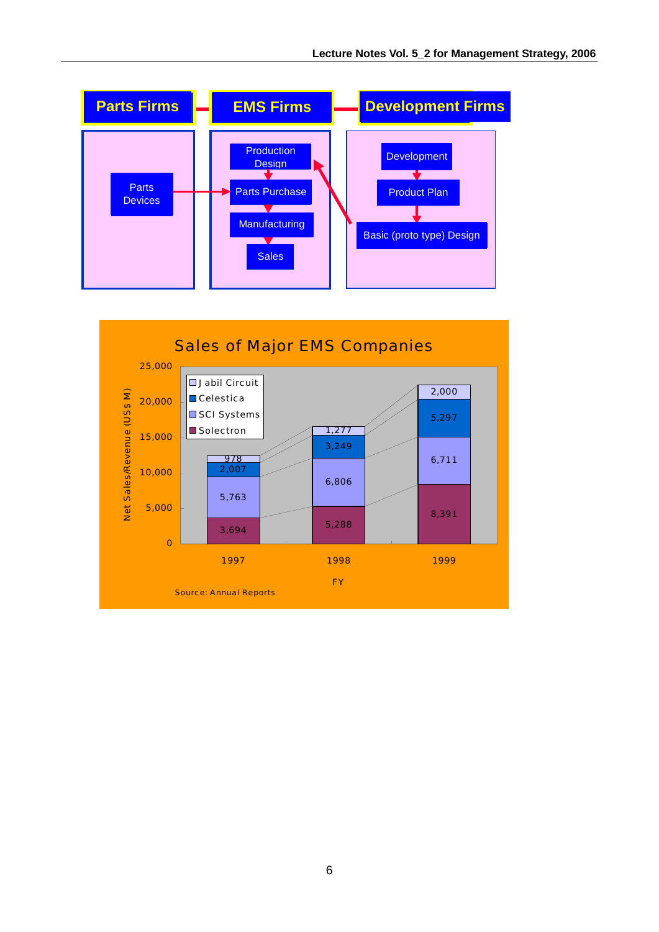

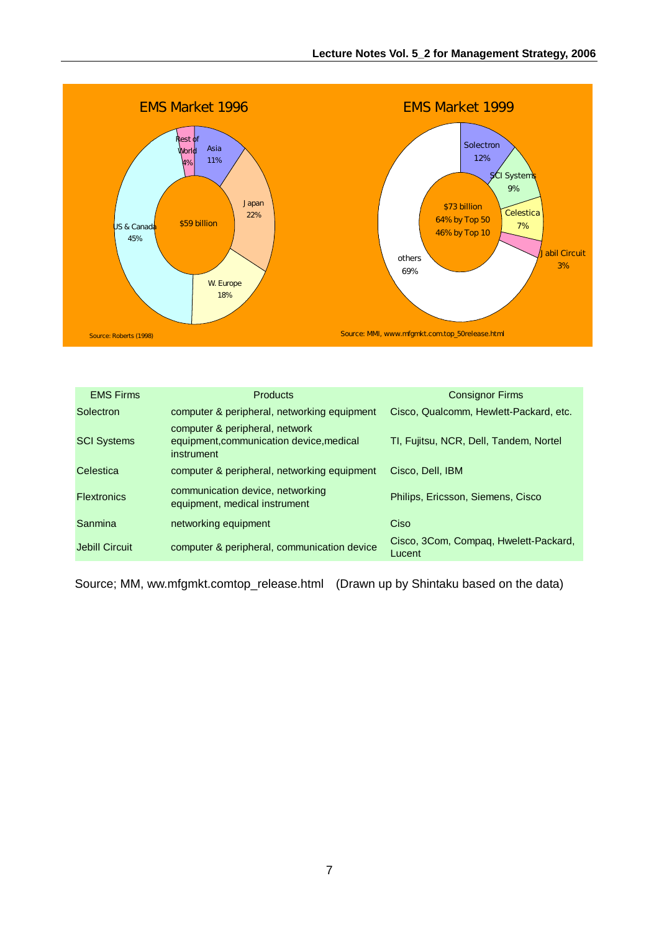

| <b>EMS Firms</b>   | <b>Products</b>                                                                          | <b>Consignor Firms</b>                          |
|--------------------|------------------------------------------------------------------------------------------|-------------------------------------------------|
| Solectron          | computer & peripheral, networking equipment                                              | Cisco, Qualcomm, Hewlett-Packard, etc.          |
| <b>SCI Systems</b> | computer & peripheral, network<br>equipment, communication device, medical<br>instrument | TI, Fujitsu, NCR, Dell, Tandem, Nortel          |
| Celestica          | computer & peripheral, networking equipment                                              | Cisco, Dell, IBM                                |
| <b>Flextronics</b> | communication device, networking<br>equipment, medical instrument                        | Philips, Ericsson, Siemens, Cisco               |
| Sanmina            | networking equipment                                                                     | Ciso                                            |
| Jebill Circuit     | computer & peripheral, communication device                                              | Cisco, 3Com, Compaq, Hwelett-Packard,<br>Lucent |

Source; MM, ww.mfgmkt.comtop\_release.html (Drawn up by Shintaku based on the data)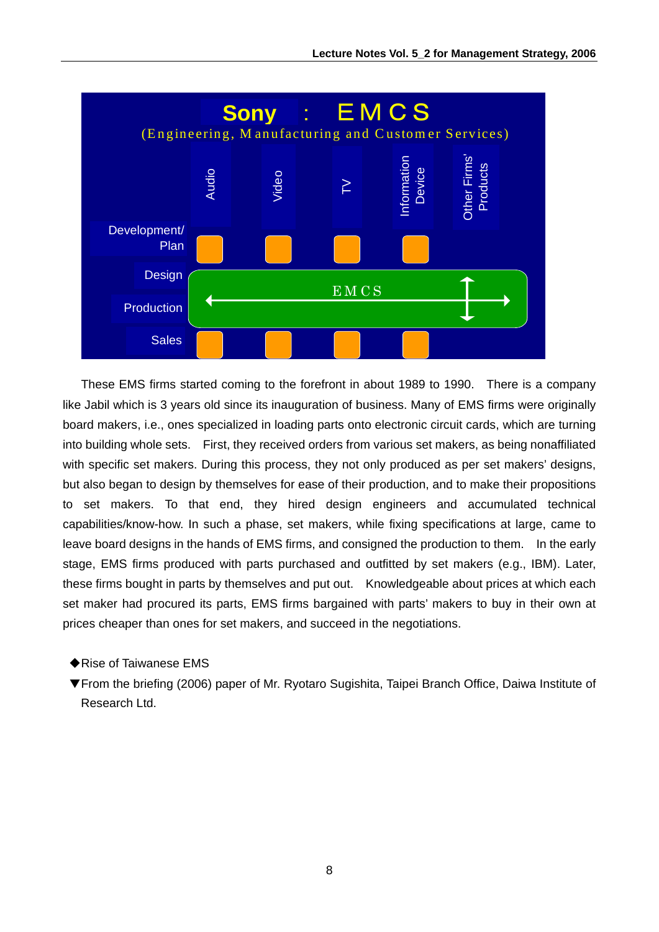

 These EMS firms started coming to the forefront in about 1989 to 1990. There is a company like Jabil which is 3 years old since its inauguration of business. Many of EMS firms were originally board makers, i.e., ones specialized in loading parts onto electronic circuit cards, which are turning into building whole sets. First, they received orders from various set makers, as being nonaffiliated with specific set makers. During this process, they not only produced as per set makers' designs, but also began to design by themselves for ease of their production, and to make their propositions to set makers. To that end, they hired design engineers and accumulated technical capabilities/know-how. In such a phase, set makers, while fixing specifications at large, came to leave board designs in the hands of EMS firms, and consigned the production to them. In the early stage, EMS firms produced with parts purchased and outfitted by set makers (e.g., IBM). Later, these firms bought in parts by themselves and put out. Knowledgeable about prices at which each set maker had procured its parts, EMS firms bargained with parts' makers to buy in their own at prices cheaper than ones for set makers, and succeed in the negotiations.

- ◆Rise of Taiwanese EMS
- ▼From the briefing (2006) paper of Mr. Ryotaro Sugishita, Taipei Branch Office, Daiwa Institute of Research Ltd.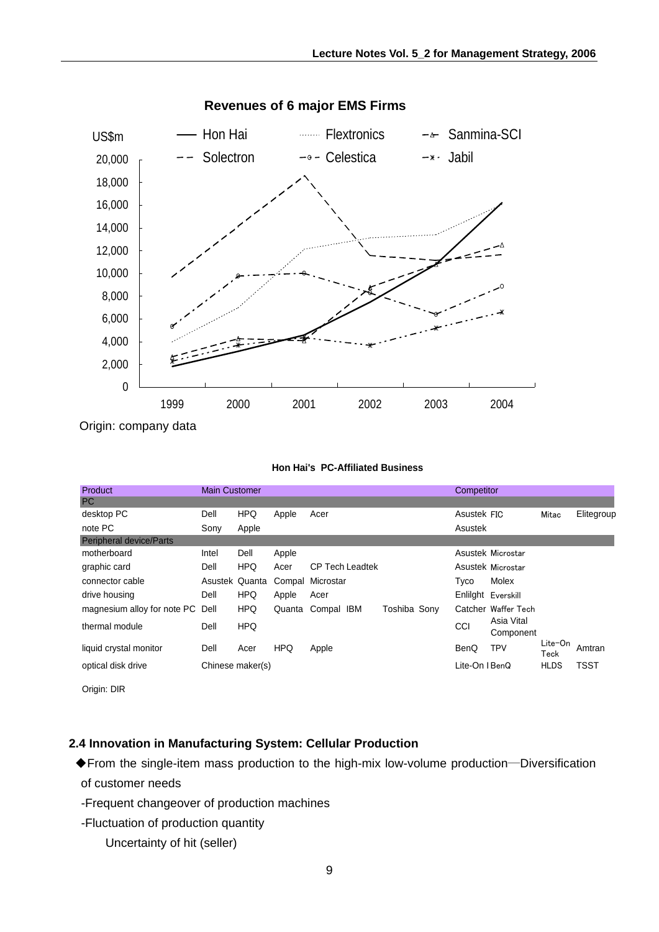

**Revenues of 6 major EMS Firms**

Origin: company data

#### **Hon Hai's PC-Affiliated Business**

| Product                          | <b>Main Customer</b> |                  |            |                        |              | Competitor |                |                         |                 |             |
|----------------------------------|----------------------|------------------|------------|------------------------|--------------|------------|----------------|-------------------------|-----------------|-------------|
| PC.                              |                      |                  |            |                        |              |            |                |                         |                 |             |
| desktop PC                       | Dell                 | <b>HPQ</b>       | Apple      | Acer                   |              |            | Asustek FIC    |                         | Mitac           | Elitegroup  |
| note PC                          | Sony                 | Apple            |            |                        |              |            | Asustek        |                         |                 |             |
| <b>Peripheral device/Parts</b>   |                      |                  |            |                        |              |            |                |                         |                 |             |
| motherboard                      | Intel                | Dell             | Apple      |                        |              |            |                | Asustek Microstar       |                 |             |
| graphic card                     | Dell                 | <b>HPQ</b>       | Acer       | <b>CP Tech Leadtek</b> |              |            |                | Asustek Microstar       |                 |             |
| connector cable                  | Asustek Quanta       |                  |            | Compal Microstar       |              |            | Tyco           | Molex                   |                 |             |
| drive housing                    | Dell                 | <b>HPQ</b>       | Apple      | Acer                   |              |            |                | Enlilght Everskill      |                 |             |
| magnesium alloy for note PC Dell |                      | <b>HPQ</b>       |            | Quanta Compal IBM      | Toshiba Sony |            |                | Catcher Waffer Tech     |                 |             |
| thermal module                   | Dell                 | <b>HPQ</b>       |            |                        |              |            | CCI            | Asia Vital<br>Component |                 |             |
| liquid crystal monitor           | Dell                 | Acer             | <b>HPQ</b> | Apple                  |              |            | BenQ           | <b>TPV</b>              | Lite-On<br>Teck | Amtran      |
| optical disk drive               |                      | Chinese maker(s) |            |                        |              |            | Lite-On I BenQ |                         | <b>HLDS</b>     | <b>TSST</b> |

Origin: DIR

#### **2.4 Innovation in Manufacturing System: Cellular Production**

- ◆From the single-item mass production to the high-mix low-volume production―Diversification of customer needs
- -Frequent changeover of production machines
- -Fluctuation of production quantity
	- Uncertainty of hit (seller)